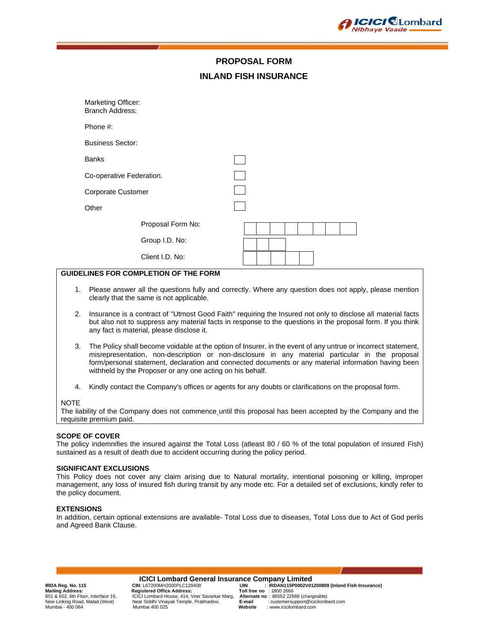

# **PROPOSAL FORM INLAND FISH INSURANCE**

| Marketing Officer:<br><b>Branch Address:</b> |                   |  |  |  |  |  |
|----------------------------------------------|-------------------|--|--|--|--|--|
| Phone #:                                     |                   |  |  |  |  |  |
| <b>Business Sector:</b>                      |                   |  |  |  |  |  |
| <b>Banks</b>                                 |                   |  |  |  |  |  |
| Co-operative Federation.                     |                   |  |  |  |  |  |
| Corporate Customer                           |                   |  |  |  |  |  |
| Other                                        |                   |  |  |  |  |  |
|                                              | Proposal Form No: |  |  |  |  |  |
|                                              | Group I.D. No:    |  |  |  |  |  |
|                                              | Client I.D. No:   |  |  |  |  |  |
|                                              |                   |  |  |  |  |  |

# **GUIDELINES FOR COMPLETION OF THE FORM**

- 1. Please answer all the questions fully and correctly. Where any question does not apply, please mention clearly that the same is not applicable.
- 2. Insurance is a contract of "Utmost Good Faith" requiring the Insured not only to disclose all material facts but also not to suppress any material facts in response to the questions in the proposal form. If you think any fact is material, please disclose it.
- 3. The Policy shall become voidable at the option of Insurer, in the event of any untrue or incorrect statement, misrepresentation, non-description or non-disclosure in any material particular in the proposal form/personal statement, declaration and connected documents or any material information having been withheld by the Proposer or any one acting on his behalf.
- 4. Kindly contact the Company's offices or agents for any doubts or clarifications on the proposal form.

#### NOTE

The liability of the Company does not commence until this proposal has been accepted by the Company and the requisite premium paid.

# **SCOPE OF COVER**

The policy indemnifies the insured against the Total Loss (atleast 80 / 60 % of the total population of insured Fish) sustained as a result of death due to accident occurring during the policy period.

#### **SIGNIFICANT EXCLUSIONS**

This Policy does not cover any claim arising due to Natural mortality, intentional poisoning or killing, improper management, any Ioss of insured fish during transit by any mode etc. For a detailed set of exclusions, kindly refer to the policy document.

#### **EXTENSIONS**

In addition, certain optional extensions are available- Total Loss due to diseases, Total Loss due to Act of God perils and Agreed Bank Clause.

**ICICI Lombard General Insurance Company Limited**<br>IRDAN115P0002V01 : UIN : L67200MH2000PLC129408 Mailing Address:<br>601 & 602, 6th Floor, Interface 16, **Registered Office Address:** Toll free no : 1800 2666<br>601 & 602, 6th Floor, Interface 16, **COLL** Combard House, 414, Veer Savarkar Marg, Alternate no : 86552 22666 (char Near Siddhi Vinayak Temple, Prabhadevi, Mumbai - 400 064 Mumbai 400 025 **Website** : www.icicilombard.com

**IRDA Reg. No. 115 CIN**: L67200MH2000PLC129408 **UIN : IRDAN115P0002V01200809 (Inland Fish Insurance)** 601 & 602, 6th Floor, Interface 16, ICICI Lombard House, 414, Veer Savarkar Marg, **Alternate no** : 86552 22666 (chargeable)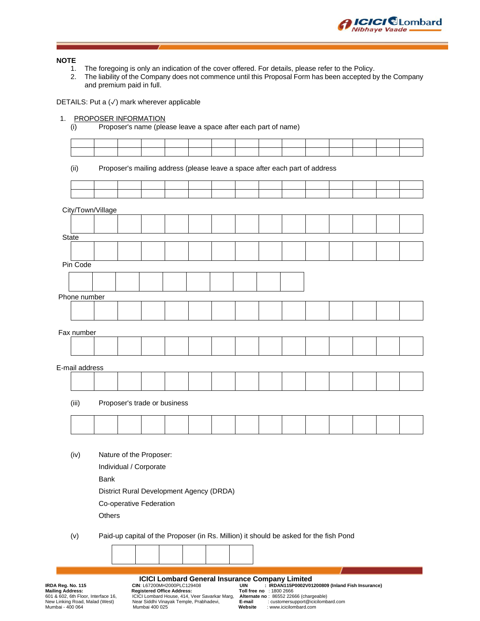

## **NOTE**

- 1. The foregoing is only an indication of the cover offered. For details, please refer to the Policy.<br>2. The liability of the Company does not commence until this Proposal Form has been accepted b
- 2. The liability of the Company does not commence until this Proposal Form has been accepted by the Company and premium paid in full.

DETAILS: Put a (√) mark wherever applicable

# 1. PROPOSER INFORMATION

(i) Proposer's name (please leave a space after each part of name)

(ii) Proposer's mailing address (please leave a space after each part of address

|                | City/Town/Village |                                                                                       |  |  |  |  |  |  |
|----------------|-------------------|---------------------------------------------------------------------------------------|--|--|--|--|--|--|
|                |                   |                                                                                       |  |  |  |  |  |  |
| State          |                   |                                                                                       |  |  |  |  |  |  |
|                |                   |                                                                                       |  |  |  |  |  |  |
|                |                   |                                                                                       |  |  |  |  |  |  |
| Pin Code       |                   |                                                                                       |  |  |  |  |  |  |
|                |                   |                                                                                       |  |  |  |  |  |  |
| Phone number   |                   |                                                                                       |  |  |  |  |  |  |
|                |                   |                                                                                       |  |  |  |  |  |  |
|                |                   |                                                                                       |  |  |  |  |  |  |
| Fax number     |                   |                                                                                       |  |  |  |  |  |  |
|                |                   |                                                                                       |  |  |  |  |  |  |
|                |                   |                                                                                       |  |  |  |  |  |  |
| E-mail address |                   |                                                                                       |  |  |  |  |  |  |
|                |                   |                                                                                       |  |  |  |  |  |  |
|                |                   |                                                                                       |  |  |  |  |  |  |
| (iii)          |                   | Proposer's trade or business                                                          |  |  |  |  |  |  |
|                |                   |                                                                                       |  |  |  |  |  |  |
|                |                   |                                                                                       |  |  |  |  |  |  |
|                |                   |                                                                                       |  |  |  |  |  |  |
|                |                   |                                                                                       |  |  |  |  |  |  |
| (iv)           |                   | Nature of the Proposer:                                                               |  |  |  |  |  |  |
|                |                   | Individual / Corporate                                                                |  |  |  |  |  |  |
|                | <b>Bank</b>       |                                                                                       |  |  |  |  |  |  |
|                |                   | District Rural Development Agency (DRDA)                                              |  |  |  |  |  |  |
|                |                   | Co-operative Federation                                                               |  |  |  |  |  |  |
|                | Others            |                                                                                       |  |  |  |  |  |  |
|                |                   |                                                                                       |  |  |  |  |  |  |
| (v)            |                   | Paid-up capital of the Proposer (in Rs. Million) it should be asked for the fish Pond |  |  |  |  |  |  |
|                |                   |                                                                                       |  |  |  |  |  |  |
|                |                   |                                                                                       |  |  |  |  |  |  |

**ICICI Lombard General Insurance Company Limited**<br>CIN: L67200MH2000PLC129408<br>IRDAN115P0002V01 **IRDA Reg. No. 115 CIN**: L67200MH2000PLC129408 **UIN : IRDAN115P0002V01200809 (Inland Fish Insurance)**

**Mailing Address: Registered Office Address: Toll free no** : 1800 2666 601 & 602, 6th Floor, Interface 16, ICICI Lombard House, 414, Veer Savarkar Marg, **Alternate no** : 86552 22666 (chargeable)

New Linking Road, Malad (West) Near Siddhi Vinayak Temple, Prabhadevi, **E-mail** : customersupport@icicilombard.com Mumbai - 400 064 Mumbai 400 025 **Website** : www.icicilombard.com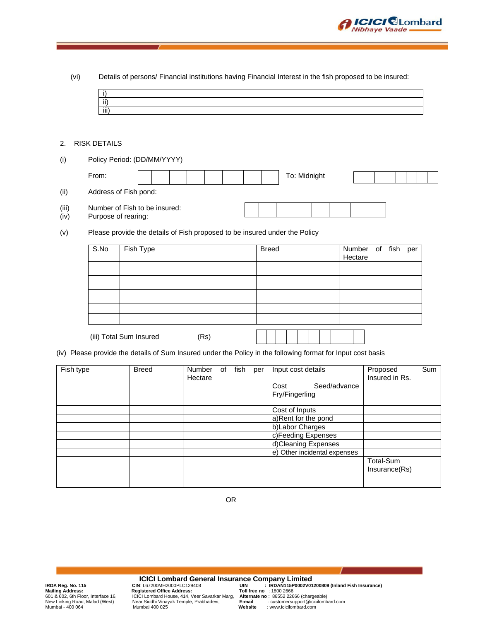

| (vi)          | i)<br>$\overline{ii}$<br>$\overline{iii}$ | Details of persons/ Financial institutions having Financial Interest in the fish proposed to be insured:     |                   |            |              |                        |              |                   |                            |             |     |
|---------------|-------------------------------------------|--------------------------------------------------------------------------------------------------------------|-------------------|------------|--------------|------------------------|--------------|-------------------|----------------------------|-------------|-----|
| 2.            | <b>RISK DETAILS</b>                       |                                                                                                              |                   |            |              |                        |              |                   |                            |             |     |
| (i)           |                                           | Policy Period: (DD/MM/YYYY)                                                                                  |                   |            |              |                        |              |                   |                            |             |     |
|               | From:                                     |                                                                                                              |                   |            |              | To: Midnight           |              |                   |                            |             |     |
| (ii)          |                                           | Address of Fish pond:                                                                                        |                   |            |              |                        |              |                   |                            |             |     |
| (iii)<br>(iv) |                                           | Number of Fish to be insured:<br>Purpose of rearing:                                                         |                   |            |              |                        |              |                   |                            |             |     |
| (v)           |                                           | Please provide the details of Fish proposed to be insured under the Policy                                   |                   |            |              |                        |              |                   |                            |             |     |
|               | S.No                                      | Fish Type                                                                                                    |                   |            | <b>Breed</b> |                        |              | Number<br>Hectare | of                         | fish<br>per |     |
|               |                                           |                                                                                                              |                   |            |              |                        |              |                   |                            |             |     |
|               |                                           |                                                                                                              |                   |            |              |                        |              |                   |                            |             |     |
|               |                                           |                                                                                                              |                   |            |              |                        |              |                   |                            |             |     |
|               |                                           | (iii) Total Sum Insured                                                                                      | (Rs)              |            |              |                        |              |                   |                            |             |     |
|               |                                           | (iv) Please provide the details of Sum Insured under the Policy in the following format for Input cost basis |                   |            |              |                        |              |                   |                            |             |     |
| Fish type     |                                           | <b>Breed</b>                                                                                                 | Number<br>Hectare | of<br>fish | per          | Input cost details     |              |                   | Proposed<br>Insured in Rs. |             | Sum |
|               |                                           |                                                                                                              |                   |            |              | Cost<br>Fry/Fingerling | Seed/advance |                   |                            |             |     |
|               |                                           |                                                                                                              |                   |            |              | Cost of Inputs         |              |                   |                            |             |     |
|               |                                           |                                                                                                              |                   |            |              | a)Rent for the pond    |              |                   |                            |             |     |

OR

**ICICI Lombard General Insurance Company Limited**<br>
Mailing Address:<br>
Mailing Address:<br>
Equistered Office Address:<br>
Toll free no : 1800 2666<br>
EQICI Lombard House, 414, Veer Savarkar Marg, Alternate no : 8652 22666 (chargeab

b)Labor Charges c)Feeding Expenses d)Cleaning Expenses e) Other incidental expenses

> Total-Sum Insurance(Rs)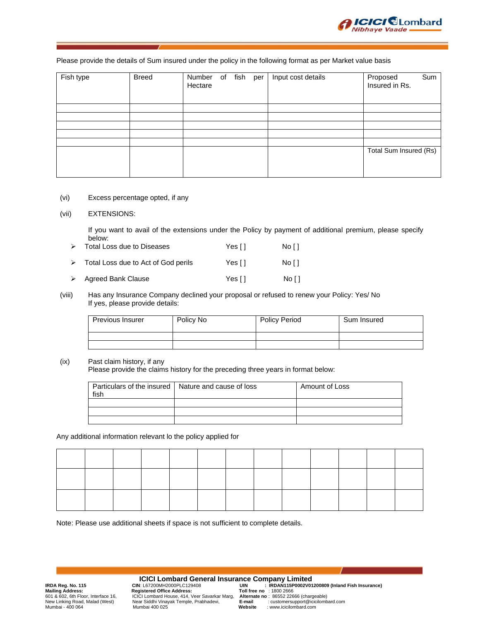

## Please provide the details of Sum insured under the policy in the following format as per Market value basis

| Fish type | <b>Breed</b> | Number of fish per<br>Hectare |  | Input cost details | Proposed<br>Insured in Rs. | Sum |
|-----------|--------------|-------------------------------|--|--------------------|----------------------------|-----|
|           |              |                               |  |                    |                            |     |
|           |              |                               |  |                    |                            |     |
|           |              |                               |  |                    |                            |     |
|           |              |                               |  |                    |                            |     |
|           |              |                               |  |                    |                            |     |
|           |              |                               |  |                    | Total Sum Insured (Rs)     |     |
|           |              |                               |  |                    |                            |     |
|           |              |                               |  |                    |                            |     |

(vi) Excess percentage opted, if any

## (vii) EXTENSIONS:

If you want to avail of the extensions under the Policy by payment of additional premium, please specify below:

|                  | $\triangleright$ Total Loss due to Diseases | Yes [ ] | No [ ] |
|------------------|---------------------------------------------|---------|--------|
| $\triangleright$ | Total Loss due to Act of God perils         | Yes []  | No [ ] |
|                  | $\triangleright$ Agreed Bank Clause         | Yes [ ] | No F1  |

(viii) Has any Insurance Company declined your proposal or refused to renew your Policy: Yes/ No If yes, please provide details:

| <b>Previous Insurer</b> | Policy No | <b>Policy Period</b> | Sum Insured |
|-------------------------|-----------|----------------------|-------------|
|                         |           |                      |             |
|                         |           |                      |             |

## (ix) Past claim history, if any

Please provide the claims history for the preceding three years in format below:

| Particulars of the insured   Nature and cause of loss<br>fish | Amount of Loss |
|---------------------------------------------------------------|----------------|
|                                                               |                |
|                                                               |                |
|                                                               |                |

Any additional information relevant lo the policy applied for

Note: Please use additional sheets if space is not sufficient to complete details.

**ICICI Lombard General Insurance Company Limited**<br>IRDAN115P0002V01 : LIRDAN115P0002V01 **Mailing Address: Registered Office Address: Toll free no** : 1800 2666 601 & 602, 6th Floor, Interface 16, ICICI Lombard House, 414, Veer Savarkar Marg, **Alternate no** : 86552 22666 (chargeable) New Linking Road, Malad (West) Near Siddhi Vinayak Temple, Prabhadevi, **E-mail** : customersupport@icicilombard.com Mumbai - 400 064 Mumbai 400 025 **Website** : www.icicilombard.com

**IRDA Reg. No. 115 CIN: L67200MH2000PLC129408 UIN : IRDAN115P0002V01200809 (Inland Fish Insurance)**<br> **Mailing Address:** Registered Office Address: Toll free no : 1800 2666<br>
601 & 602, 6th Floor, Interface 16, ICICI Lomba